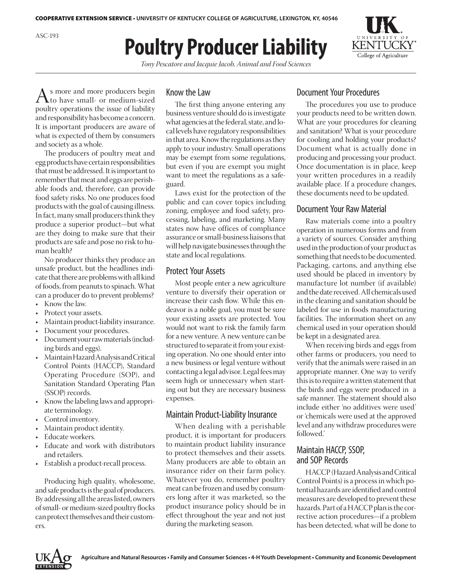

# **Poultry Producer Liability**

*Tony Pescatore and Jacquie Jacob, Animal and Food Sciences*

As more and more producers begin<br>to have small- or medium-sized<br>poultry operations the issue of liability poultry operations the issue of liability and responsibility has become a concern. It is important producers are aware of what is expected of them by consumers and society as a whole.

The producers of poultry meat and egg products have certain responsibilities that must be addressed. It is important to remember that meat and eggs are perishable foods and, therefore, can provide food safety risks. No one produces food products with the goal of causing illness. In fact, many small producers think they produce a superior product—but what are they doing to make sure that their products are safe and pose no risk to human health?

No producer thinks they produce an unsafe product, but the headlines indicate that there are problems with all kind of foods, from peanuts to spinach. What can a producer do to prevent problems?

- Know the law.
- Protect your assets.
- Maintain product-liability insurance.
- Document your procedures.
- Document your raw materials (including birds and eggs).
- Maintain Hazard Analysis and Critical Control Points (HACCP), Standard Operating Procedure (SOP), and Sanitation Standard Operating Plan (SSOP) records.
- • Knowthe labeling laws and appropriate terminology.
- Control inventory.
- Maintain product identity.
- Educate workers.
- Educate and work with distributors and retailers.
- Establish a product-recall process.

 Producing high quality, wholesome, and safe products is the goal of producers. By addressing all the areas listed, owners of small- or medium-sized poultry flocks can protect themselves and their customers.

#### Know the Law

The first thing anyone entering any business venture should do is investigate what agencies at the federal, state, and local levels have regulatory responsibilities in that area. Know the regulations as they apply to your industry. Small operations may be exempt from some regulations, but even if you are exempt you might want to meet the regulations as a safeguard.

Laws exist for the protection of the public and can cover topics including zoning, employee and food safety, processing, labeling, and marketing. Many states now have offices of compliance assurance or small-business liaisons that will help navigate businesses through the state and local regulations.

## Protect Your Assets

 Most people enter a new agriculture venture to diversify their operation or increase their cash flow. While this endeavor is a noble goal, you must be sure your existing assets are protected. You would not want to risk the family farm for a new venture. A new venture can be structured to separate it from your existing operation. No one should enter into a new business or legal venture without contacting a legal advisor. Legal fees may seem high or unnecessary when starting out but they are necessary business expenses.

## Maintain Product-Liability Insurance

When dealing with a perishable product, it is important for producers to maintain product liability insurance to protect themselves and their assets. Many producers are able to obtain an insurance rider on their farm policy. Whatever you do, remember poultry meat can be frozen and used by consumers long after it was marketed, so the product insurance policy should be in effect throughout the year and not just during the marketing season.

## Document Your Procedures

The procedures you use to produce your products need to be written down. What are your procedures for cleaning and sanitation? What is your procedure for cooling and holding your products? Document what is actually done in producing and processing your product. Once documentation is in place, keep your written procedures in a readily available place. If a procedure changes, these documents need to be updated.

## Document Your Raw Material

Raw materials come into a poultry operation in numerous forms and from a variety of sources. Consider anything used in the production of your product as something that needs to be documented. Packaging, cartons, and anything else used should be placed in inventory by manufacture lot number (if available) and the date received. All chemicals used in the cleaning and sanitation should be labeled for use in foods manufacturing facilities. The information sheet on any chemical used in your operation should be kept in a designated area.

When receiving birds and eggs from other farms or producers, you need to verify that the animals were raised in an appropriate manner. One way to verify this is to require a written statement that the birds and eggs were produced in a safe manner. The statement should also include either 'no additives were used' or 'chemicals were used at the approved level and any withdraw procedures were followed.'

# Maintain HACCP, SSOP, and SOP Records

HACCP (Hazard Analysis and Critical Control Points) is a processinwhich potential hazards are identified and control measures are developed to prevent these hazards. Part of aHACCP plan isthe corrective action procedures—if a problem has been detected, what will be done to



ASC-193